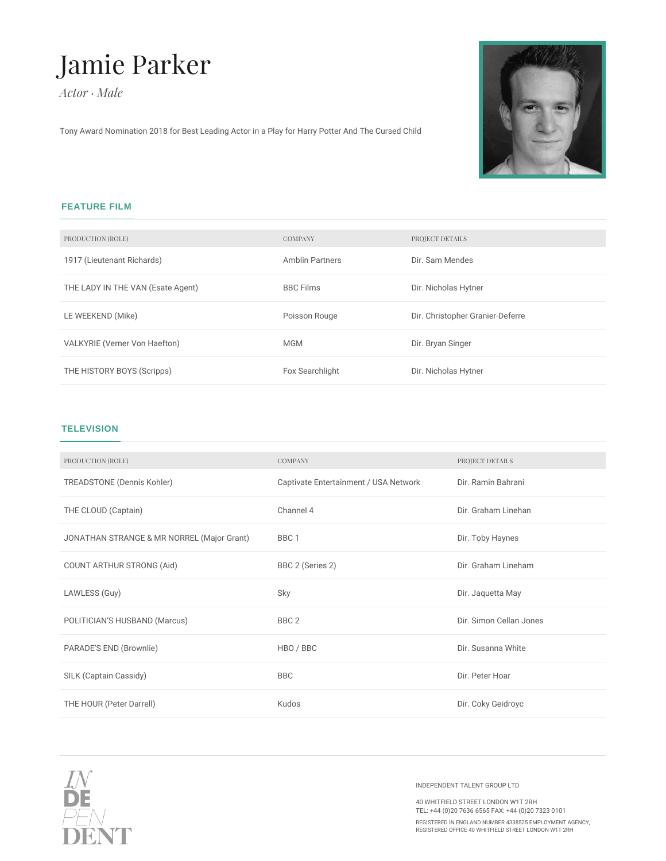## Jamie Parker

*Actor · Male*

Tony Award Nomination 2018 for Best Leading Actor in a Play for Harry Potter And The Cursed Child



## **FEATURE FILM**

| PRODUCTION (ROLE)                 | <b>COMPANY</b>         | PROJECT DETAILS                  |
|-----------------------------------|------------------------|----------------------------------|
| 1917 (Lieutenant Richards)        | <b>Amblin Partners</b> | Dir. Sam Mendes                  |
| THE LADY IN THE VAN (Esate Agent) | <b>BBC Films</b>       | Dir. Nicholas Hytner             |
| LE WEEKEND (Mike)                 | Poisson Rouge          | Dir. Christopher Granier-Deferre |
|                                   |                        |                                  |
| VALKYRIE (Verner Von Haefton)     | <b>MGM</b>             | Dir. Bryan Singer                |

## **TELEVISION**

| PRODUCTION (ROLE)                          | <b>COMPANY</b>                        | PROJECT DETAILS         |
|--------------------------------------------|---------------------------------------|-------------------------|
| <b>TREADSTONE (Dennis Kohler)</b>          | Captivate Entertainment / USA Network | Dir. Ramin Bahrani      |
| THE CLOUD (Captain)                        | Channel 4                             | Dir. Graham Linehan     |
| JONATHAN STRANGE & MR NORREL (Major Grant) | BBC <sub>1</sub>                      | Dir. Toby Haynes        |
| COUNT ARTHUR STRONG (Aid)                  | BBC 2 (Series 2)                      | Dir. Graham Lineham     |
| LAWLESS (Guy)                              | Sky                                   | Dir. Jaquetta May       |
| POLITICIAN'S HUSBAND (Marcus)              | BBC <sub>2</sub>                      | Dir. Simon Cellan Jones |
| PARADE'S END (Brownlie)                    | HBO / BBC                             | Dir. Susanna White      |
| SILK (Captain Cassidy)                     | <b>BBC</b>                            | Dir. Peter Hoar         |
| THE HOUR (Peter Darrell)                   | Kudos                                 | Dir. Coky Geidroyc      |
|                                            |                                       |                         |



INDEPENDENT TALENT GROUP LTD

40 WHITFIELD STREET LONDON W1T 2RH TEL: +44 (0)20 7636 6565 FAX: +44 (0)20 7323 0101 REGISTERED IN ENGLAND NUMBER 4338525 EMPLOYMENT AGENCY, REGISTERED OFFICE 40 WHITFIELD STREET LONDON W1T 2RH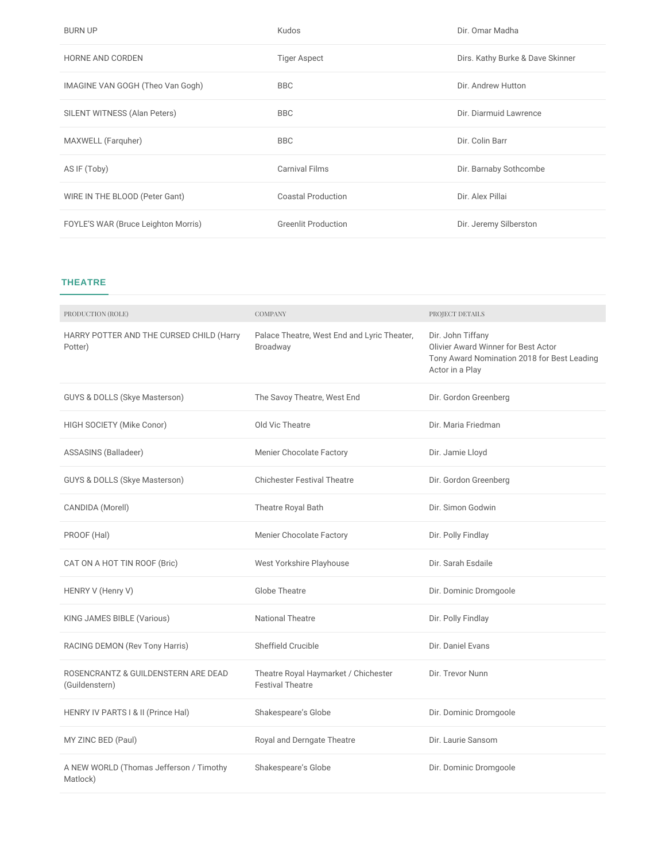| <b>BURN UP</b>                      | Kudos                      | Dir. Omar Madha                  |
|-------------------------------------|----------------------------|----------------------------------|
| <b>HORNE AND CORDEN</b>             | <b>Tiger Aspect</b>        | Dirs. Kathy Burke & Dave Skinner |
| IMAGINE VAN GOGH (Theo Van Gogh)    | <b>BBC</b>                 | Dir. Andrew Hutton               |
| SILENT WITNESS (Alan Peters)        | <b>BBC</b>                 | Dir. Diarmuid Lawrence           |
| MAXWELL (Farguher)                  | <b>BBC</b>                 | Dir. Colin Barr                  |
| AS IF (Toby)                        | <b>Carnival Films</b>      | Dir. Barnaby Sothcombe           |
| WIRE IN THE BLOOD (Peter Gant)      | <b>Coastal Production</b>  | Dir. Alex Pillai                 |
| FOYLE'S WAR (Bruce Leighton Morris) | <b>Greenlit Production</b> | Dir. Jeremy Silberston           |

## **THEATRE**

| PRODUCTION (ROLE)                                     | <b>COMPANY</b>                                                  | PROJECT DETAILS                                                                                                                   |
|-------------------------------------------------------|-----------------------------------------------------------------|-----------------------------------------------------------------------------------------------------------------------------------|
| HARRY POTTER AND THE CURSED CHILD (Harry<br>Potter)   | Palace Theatre, West End and Lyric Theater,<br>Broadway         | Dir. John Tiffany<br><b>Olivier Award Winner for Best Actor</b><br>Tony Award Nomination 2018 for Best Leading<br>Actor in a Play |
| GUYS & DOLLS (Skye Masterson)                         | The Savoy Theatre, West End                                     | Dir. Gordon Greenberg                                                                                                             |
| HIGH SOCIETY (Mike Conor)                             | Old Vic Theatre                                                 | Dir. Maria Friedman                                                                                                               |
| ASSASINS (Balladeer)                                  | <b>Menier Chocolate Factory</b>                                 | Dir. Jamie Lloyd                                                                                                                  |
| <b>GUYS &amp; DOLLS (Skye Masterson)</b>              | <b>Chichester Festival Theatre</b>                              | Dir. Gordon Greenberg                                                                                                             |
| CANDIDA (Morell)                                      | Theatre Royal Bath                                              | Dir. Simon Godwin                                                                                                                 |
| PROOF (Hal)                                           | <b>Menier Chocolate Factory</b>                                 | Dir. Polly Findlay                                                                                                                |
| CAT ON A HOT TIN ROOF (Bric)                          | West Yorkshire Playhouse                                        | Dir. Sarah Esdaile                                                                                                                |
| HENRY V (Henry V)                                     | <b>Globe Theatre</b>                                            | Dir. Dominic Dromgoole                                                                                                            |
| KING JAMES BIBLE (Various)                            | <b>National Theatre</b>                                         | Dir. Polly Findlay                                                                                                                |
| RACING DEMON (Rev Tony Harris)                        | Sheffield Crucible                                              | Dir. Daniel Evans                                                                                                                 |
| ROSENCRANTZ & GUILDENSTERN ARE DEAD<br>(Guildenstern) | Theatre Royal Haymarket / Chichester<br><b>Festival Theatre</b> | Dir. Trevor Nunn                                                                                                                  |
| HENRY IV PARTS I & II (Prince Hal)                    | Shakespeare's Globe                                             | Dir. Dominic Dromgoole                                                                                                            |
| MY ZINC BED (Paul)                                    | Royal and Derngate Theatre                                      | Dir. Laurie Sansom                                                                                                                |
| A NEW WORLD (Thomas Jefferson / Timothy<br>Matlock)   | Shakespeare's Globe                                             | Dir. Dominic Dromgoole                                                                                                            |